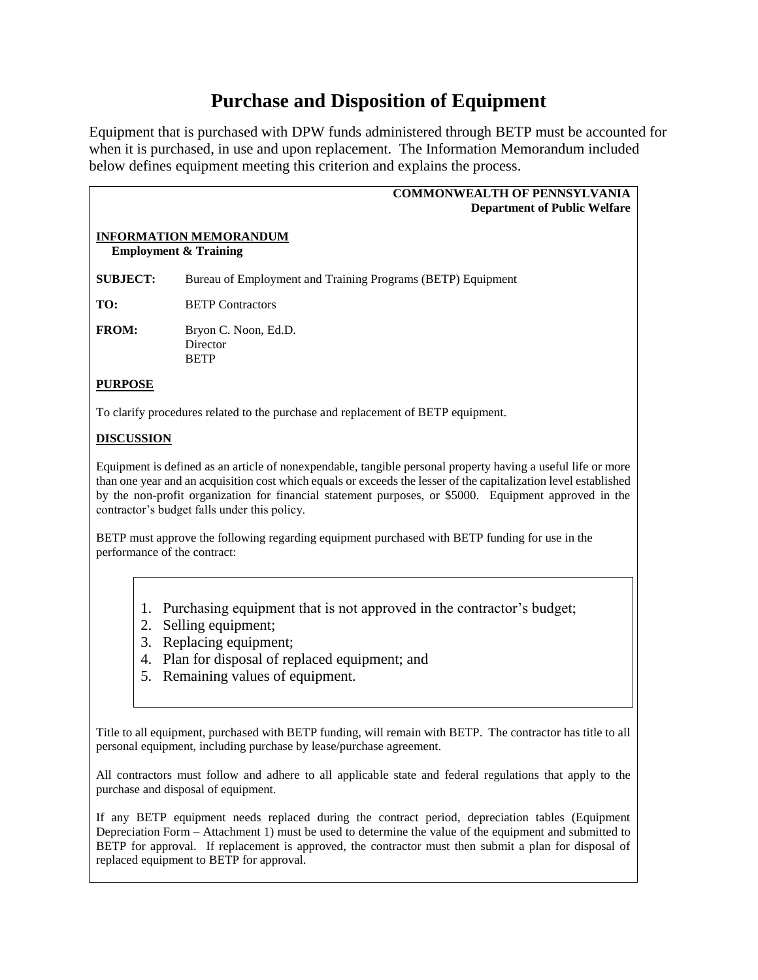## **Purchase and Disposition of Equipment**

Equipment that is purchased with DPW funds administered through BETP must be accounted for when it is purchased, in use and upon replacement. The Information Memorandum included below defines equipment meeting this criterion and explains the process.

|                                                                   | <b>COMMONWEALTH OF PENNSYLVANIA</b><br><b>Department of Public Welfare</b>                                                                                                                                                                                                                                                                                                                |
|-------------------------------------------------------------------|-------------------------------------------------------------------------------------------------------------------------------------------------------------------------------------------------------------------------------------------------------------------------------------------------------------------------------------------------------------------------------------------|
| <b>INFORMATION MEMORANDUM</b><br><b>Employment &amp; Training</b> |                                                                                                                                                                                                                                                                                                                                                                                           |
| <b>SUBJECT:</b>                                                   | Bureau of Employment and Training Programs (BETP) Equipment                                                                                                                                                                                                                                                                                                                               |
| TO:                                                               | <b>BETP</b> Contractors                                                                                                                                                                                                                                                                                                                                                                   |
| <b>FROM:</b>                                                      | Bryon C. Noon, Ed.D.<br>Director<br><b>BETP</b>                                                                                                                                                                                                                                                                                                                                           |
| <b>PURPOSE</b>                                                    |                                                                                                                                                                                                                                                                                                                                                                                           |
|                                                                   | To clarify procedures related to the purchase and replacement of BETP equipment.                                                                                                                                                                                                                                                                                                          |
| <b>DISCUSSION</b>                                                 |                                                                                                                                                                                                                                                                                                                                                                                           |
|                                                                   | Equipment is defined as an article of nonexpendable, tangible personal property having a useful life or more<br>than one year and an acquisition cost which equals or exceeds the lesser of the capitalization level established<br>by the non-profit organization for financial statement purposes, or \$5000. Equipment approved in the<br>contractor's budget falls under this policy. |
|                                                                   | BETP must approve the following regarding equipment purchased with BETP funding for use in the<br>performance of the contract:                                                                                                                                                                                                                                                            |
|                                                                   | 1. Purchasing equipment that is not approved in the contractor's budget;<br>2. Selling equipment;<br>3. Replacing equipment;<br>4. Plan for disposal of replaced equipment; and<br>5. Remaining values of equipment.                                                                                                                                                                      |
|                                                                   | Title to all equipment, purchased with BETP funding, will remain with BETP. The contractor has title to all<br>personal equipment, including purchase by lease/purchase agreement.                                                                                                                                                                                                        |

All contractors must follow and adhere to all applicable state and federal regulations that apply to the purchase and disposal of equipment.

If any BETP equipment needs replaced during the contract period, depreciation tables (Equipment Depreciation Form – Attachment 1) must be used to determine the value of the equipment and submitted to BETP for approval. If replacement is approved, the contractor must then submit a plan for disposal of replaced equipment to BETP for approval.